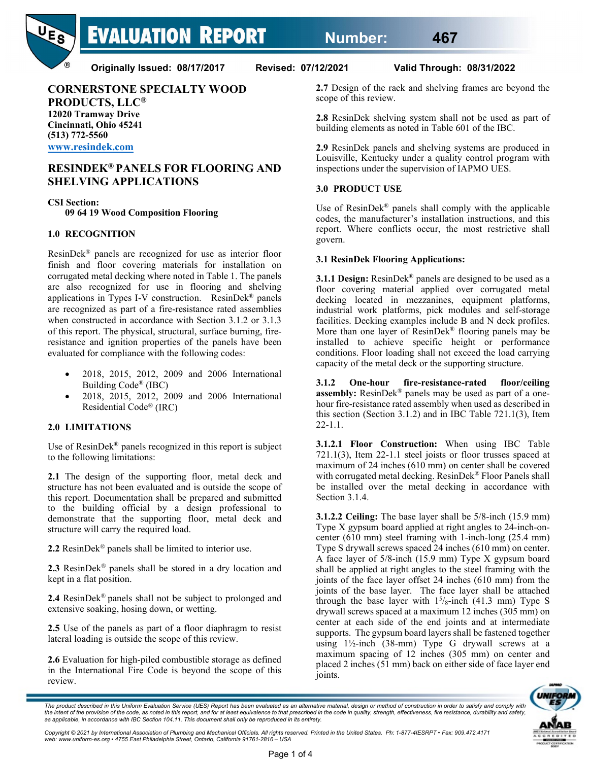

**Originally Issued: 08/17/2017 Revised: 07/12/2021 Valid Through: 08/31/2022**

**CORNERSTONE SPECIALTY WOOD PRODUCTS, LLC® 12020 Tramway Drive Cincinnati, Ohio 45241**

**(513) 772-5560 [www.resindek.com](http://www.resindek.com/)**

# **RESINDEK® PANELS FOR FLOORING AND SHELVING APPLICATIONS**

**CSI Section:**

**09 64 19 Wood Composition Flooring**

## **1.0 RECOGNITION**

ResinDek® panels are recognized for use as interior floor finish and floor covering materials for installation on corrugated metal decking where noted in Table 1. The panels are also recognized for use in flooring and shelving applications in Types I-V construction. ResinDek® panels are recognized as part of a fire-resistance rated assemblies when constructed in accordance with Section 3.1.2 or 3.1.3 of this report. The physical, structural, surface burning, fireresistance and ignition properties of the panels have been evaluated for compliance with the following codes:

- 2018, 2015, 2012, 2009 and 2006 International Building Code® (IBC)
- 2018, 2015, 2012, 2009 and 2006 International Residential Code® (IRC)

#### **2.0 LIMITATIONS**

Use of ResinDek® panels recognized in this report is subject to the following limitations:

**2.1** The design of the supporting floor, metal deck and structure has not been evaluated and is outside the scope of this report. Documentation shall be prepared and submitted to the building official by a design professional to demonstrate that the supporting floor, metal deck and structure will carry the required load.

**2.2** ResinDek® panels shall be limited to interior use.

**2.3** ResinDek® panels shall be stored in a dry location and kept in a flat position.

**2.4** ResinDek® panels shall not be subject to prolonged and extensive soaking, hosing down, or wetting.

**2.5** Use of the panels as part of a floor diaphragm to resist lateral loading is outside the scope of this review.

**2.6** Evaluation for high-piled combustible storage as defined in the International Fire Code is beyond the scope of this review.

**2.7** Design of the rack and shelving frames are beyond the scope of this review.

**2.8** ResinDek shelving system shall not be used as part of building elements as noted in Table 601 of the IBC.

**2.9** ResinDek panels and shelving systems are produced in Louisville, Kentucky under a quality control program with inspections under the supervision of IAPMO UES.

## **3.0 PRODUCT USE**

Use of ResinDek® panels shall comply with the applicable codes, the manufacturer's installation instructions, and this report. Where conflicts occur, the most restrictive shall govern.

#### **3.1 ResinDek Flooring Applications:**

**3.1.1 Design:** ResinDek® panels are designed to be used as a floor covering material applied over corrugated metal decking located in mezzanines, equipment platforms, industrial work platforms, pick modules and self-storage facilities. Decking examples include B and N deck profiles. More than one layer of  $ResinDek^{\otimes}$  flooring panels may be installed to achieve specific height or performance conditions. Floor loading shall not exceed the load carrying capacity of the metal deck or the supporting structure.

**3.1.2 One-hour fire-resistance-rated floor/ceiling assembly:** ResinDek® panels may be used as part of a onehour fire-resistance rated assembly when used as described in this section (Section 3.1.2) and in IBC Table 721.1(3), Item 22-1.1.

**3.1.2.1 Floor Construction:** When using IBC Table 721.1(3), Item 22-1.1 steel joists or floor trusses spaced at maximum of 24 inches (610 mm) on center shall be covered with corrugated metal decking. ResinDek® Floor Panels shall be installed over the metal decking in accordance with Section 3.1.4.

**3.1.2.2 Ceiling:** The base layer shall be 5/8-inch (15.9 mm) Type X gypsum board applied at right angles to 24-inch-oncenter (610 mm) steel framing with 1-inch-long (25.4 mm) Type S drywall screws spaced 24 inches (610 mm) on center. A face layer of 5/8-inch (15.9 mm) Type X gypsum board shall be applied at right angles to the steel framing with the joints of the face layer offset 24 inches (610 mm) from the joints of the base layer. The face layer shall be attached through the base layer with  $1<sup>5</sup>/8$ -inch (41.3 mm) Type S drywall screws spaced at a maximum 12 inches (305 mm) on center at each side of the end joints and at intermediate supports. The gypsum board layers shall be fastened together using 1½-inch (38-mm) Type G drywall screws at a maximum spacing of 12 inches (305 mm) on center and placed 2 inches (51 mm) back on either side of face layer end joints.



The product described in this Uniform Evaluation Service (UES) Report has been evaluated as an alternative material, design or method of construction in order to satisfy and comply with<br>the intent of the provision of the c

*Copyright © 2021 by International Association of Plumbing and Mechanical Officials. All rights reserved. Printed in the United States. Ph: 1-877-4IESRPT • Fax: 909.472.4171 web: www.uniform-es.org • 4755 East Philadelphia Street, Ontario, California 91761-2816 – USA*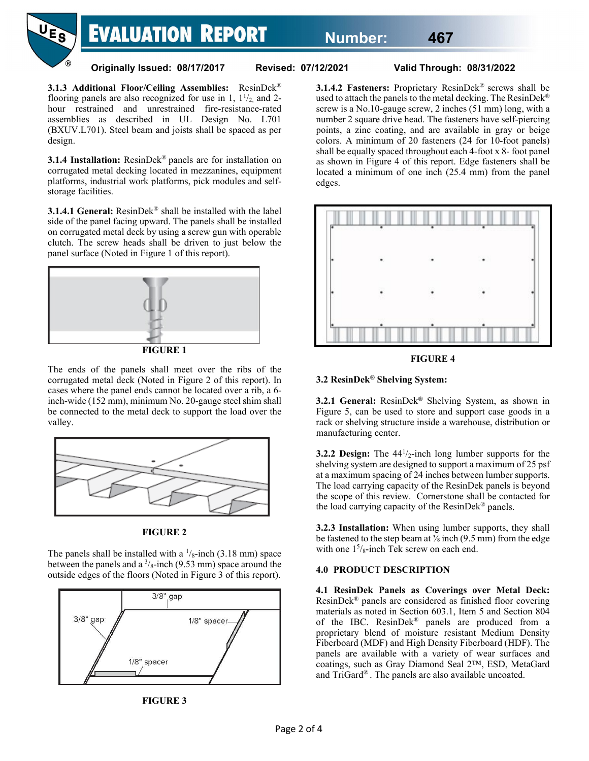

**Originally Issued: 08/17/2017 Revised: 07/12/2021 Valid Through: 08/31/2022**

**3.1.3 Additional Floor/Ceiling Assemblies:** ResinDek® flooring panels are also recognized for use in 1,  $1^{1/2}$ , and 2hour restrained and unrestrained fire-resistance-rated assemblies as described in UL Design No. L701 (BXUV.L701). Steel beam and joists shall be spaced as per design.

**3.1.4 Installation:** ResinDek® panels are for installation on corrugated metal decking located in mezzanines, equipment platforms, industrial work platforms, pick modules and selfstorage facilities.

**3.1.4.1 General:** ResinDek® shall be installed with the label side of the panel facing upward. The panels shall be installed on corrugated metal deck by using a screw gun with operable clutch. The screw heads shall be driven to just below the panel surface (Noted in Figure 1 of this report).



**FIGURE 1**

The ends of the panels shall meet over the ribs of the corrugated metal deck (Noted in Figure 2 of this report). In cases where the panel ends cannot be located over a rib, a 6 inch-wide (152 mm), minimum No. 20-gauge steel shim shall be connected to the metal deck to support the load over the valley.



**FIGURE 2**

The panels shall be installed with a  $\frac{1}{8}$ -inch (3.18 mm) space between the panels and a  $\frac{3}{8}$ -inch (9.53 mm) space around the outside edges of the floors (Noted in Figure 3 of this report).





**3.1.4.2 Fasteners:** Proprietary ResinDek® screws shall be used to attach the panels to the metal decking. The ResinDek® screw is a No.10-gauge screw, 2 inches (51 mm) long, with a number 2 square drive head. The fasteners have self-piercing points, a zinc coating, and are available in gray or beige colors. A minimum of 20 fasteners (24 for 10-foot panels) shall be equally spaced throughout each 4-foot x 8- foot panel as shown in Figure 4 of this report. Edge fasteners shall be located a minimum of one inch (25.4 mm) from the panel edges.



**FIGURE 4**

## **3.2 ResinDek® Shelving System:**

**3.2.1 General:** ResinDek**®** Shelving System, as shown in Figure 5, can be used to store and support case goods in a rack or shelving structure inside a warehouse, distribution or manufacturing center.

**3.2.2 Design:** The  $44^{1/2}$ -inch long lumber supports for the shelving system are designed to support a maximum of 25 psf at a maximum spacing of 24 inches between lumber supports. The load carrying capacity of the ResinDek panels is beyond the scope of this review. Cornerstone shall be contacted for the load carrying capacity of the ResinDek® panels.

**3.2.3 Installation:** When using lumber supports, they shall be fastened to the step beam at <sup>3</sup>/<sub>8</sub> inch (9.5 mm) from the edge with one  $1<sup>5</sup>/<sub>8</sub>$ -inch Tek screw on each end.

# **4.0 PRODUCT DESCRIPTION**

**4.1 ResinDek Panels as Coverings over Metal Deck:** ResinDek® panels are considered as finished floor covering materials as noted in Section 603.1, Item 5 and Section 804 of the IBC. ResinDek® panels are produced from a proprietary blend of moisture resistant Medium Density Fiberboard (MDF) and High Density Fiberboard (HDF). The panels are available with a variety of wear surfaces and coatings, such as Gray Diamond Seal 2™, ESD, MetaGard and TriGard® . The panels are also available uncoated.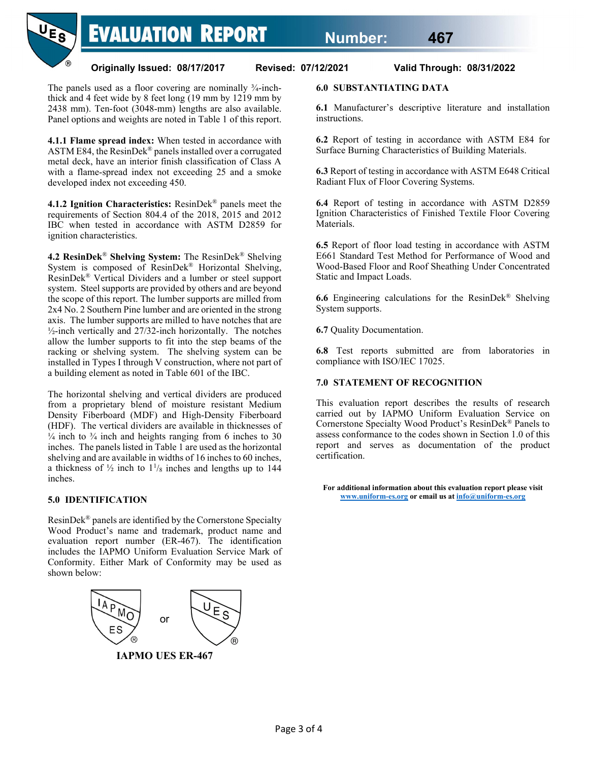

The panels used as a floor covering are nominally  $\frac{3}{4}$ -inchthick and 4 feet wide by 8 feet long (19 mm by 1219 mm by 2438 mm). Ten-foot (3048-mm) lengths are also available. Panel options and weights are noted in Table 1 of this report.

**4.1.1 Flame spread index:** When tested in accordance with ASTM E84, the ResinDek® panels installed over a corrugated metal deck, have an interior finish classification of Class A with a flame-spread index not exceeding 25 and a smoke developed index not exceeding 450.

**4.1.2 Ignition Characteristics:** ResinDek® panels meet the requirements of Section 804.4 of the 2018, 2015 and 2012 IBC when tested in accordance with ASTM D2859 for ignition characteristics.

**4.2 ResinDek**® **Shelving System:** The ResinDek® Shelving System is composed of ResinDek® Horizontal Shelving, ResinDek® Vertical Dividers and a lumber or steel support system. Steel supports are provided by others and are beyond the scope of this report. The lumber supports are milled from 2x4 No. 2 Southern Pine lumber and are oriented in the strong axis. The lumber supports are milled to have notches that are ½-inch vertically and 27/32-inch horizontally. The notches allow the lumber supports to fit into the step beams of the racking or shelving system. The shelving system can be installed in Types I through V construction, where not part of a building element as noted in Table 601 of the IBC.

The horizontal shelving and vertical dividers are produced from a proprietary blend of moisture resistant Medium Density Fiberboard (MDF) and High-Density Fiberboard (HDF). The vertical dividers are available in thicknesses of  $\frac{1}{4}$  inch to  $\frac{3}{4}$  inch and heights ranging from 6 inches to 30 inches. The panels listed in Table 1 are used as the horizontal shelving and are available in widths of 16 inches to 60 inches, a thickness of  $\frac{1}{2}$  inch to  $1\frac{1}{8}$  inches and lengths up to 144 inches.

# **5.0 IDENTIFICATION**

ResinDek® panels are identified by the Cornerstone Specialty Wood Product's name and trademark, product name and evaluation report number (ER-467). The identification includes the IAPMO Uniform Evaluation Service Mark of Conformity. Either Mark of Conformity may be used as shown below:



**IAPMO UES ER-467**

# **6.0 SUBSTANTIATING DATA**

**6.1** Manufacturer's descriptive literature and installation instructions.

**6.2** Report of testing in accordance with ASTM E84 for Surface Burning Characteristics of Building Materials.

**6.3** Report of testing in accordance with ASTM E648 Critical Radiant Flux of Floor Covering Systems.

**6.4** Report of testing in accordance with ASTM D2859 Ignition Characteristics of Finished Textile Floor Covering Materials.

**6.5** Report of floor load testing in accordance with ASTM E661 Standard Test Method for Performance of Wood and Wood-Based Floor and Roof Sheathing Under Concentrated Static and Impact Loads.

**6.6** Engineering calculations for the ResinDek® Shelving System supports.

**6.7** Quality Documentation.

**6.8** Test reports submitted are from laboratories in compliance with ISO/IEC 17025.

#### **7.0 STATEMENT OF RECOGNITION**

This evaluation report describes the results of research carried out by IAPMO Uniform Evaluation Service on Cornerstone Specialty Wood Product's ResinDek® Panels to assess conformance to the codes shown in Section 1.0 of this report and serves as documentation of the product certification.

**For additional information about this evaluation report please visit [www.uniform-es.org](http://www.uniform-es.org/) or email us a[t info@uniform-es.org](mailto:info@uniform-es.org)**